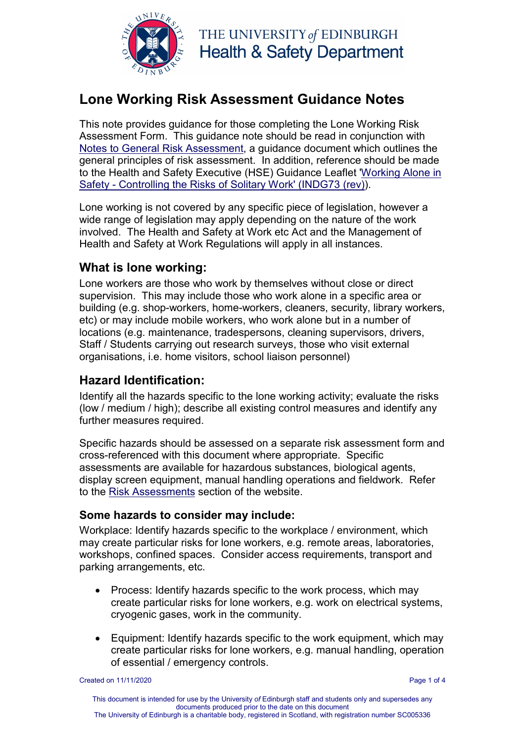

THE UNIVERSITY of EDINBURGH **Health & Safety Department** 

# **Lone Working Risk Assessment Guidance Notes**

This note provides guidance for those completing the Lone Working Risk Assessment Form. This guidance note should be read in conjunction with [Notes to General Risk Assessment,](http://www.docs.csg.ed.ac.uk/Safety/ra/RA1_notes.pdf) a guidance document which outlines the general principles of risk assessment. In addition, reference should be made to the Health and Safety Executive (HSE) Guidance Leaflet ['Working Alone in](http://www.hse.gov.uk/pubns/indg73.htm)  Safety - [Controlling the Risks of Solitary Work' \(INDG73 \(rev\)\)](http://www.hse.gov.uk/pubns/indg73.htm).

Lone working is not covered by any specific piece of legislation, however a wide range of legislation may apply depending on the nature of the work involved. The Health and Safety at Work etc Act and the Management of Health and Safety at Work Regulations will apply in all instances.

# **What is lone working:**

Lone workers are those who work by themselves without close or direct supervision. This may include those who work alone in a specific area or building (e.g. shop-workers, home-workers, cleaners, security, library workers, etc) or may include mobile workers, who work alone but in a number of locations (e.g. maintenance, tradespersons, cleaning supervisors, drivers, Staff / Students carrying out research surveys, those who visit external organisations, i.e. home visitors, school liaison personnel)

# **Hazard Identification:**

Identify all the hazards specific to the lone working activity; evaluate the risks (low / medium / high); describe all existing control measures and identify any further measures required.

Specific hazards should be assessed on a separate risk assessment form and cross-referenced with this document where appropriate. Specific assessments are available for hazardous substances, biological agents, display screen equipment, manual handling operations and fieldwork. Refer to the [Risk Assessments](https://www.ed.ac.uk/health-safety/online-resources/risk-assessments) section of the website.

#### **Some hazards to consider may include:**

Workplace: Identify hazards specific to the workplace / environment, which may create particular risks for lone workers, e.g. remote areas, laboratories, workshops, confined spaces. Consider access requirements, transport and parking arrangements, etc.

- Process: Identify hazards specific to the work process, which may create particular risks for lone workers, e.g. work on electrical systems, cryogenic gases, work in the community.
- Equipment: Identify hazards specific to the work equipment, which may create particular risks for lone workers, e.g. manual handling, operation of essential / emergency controls.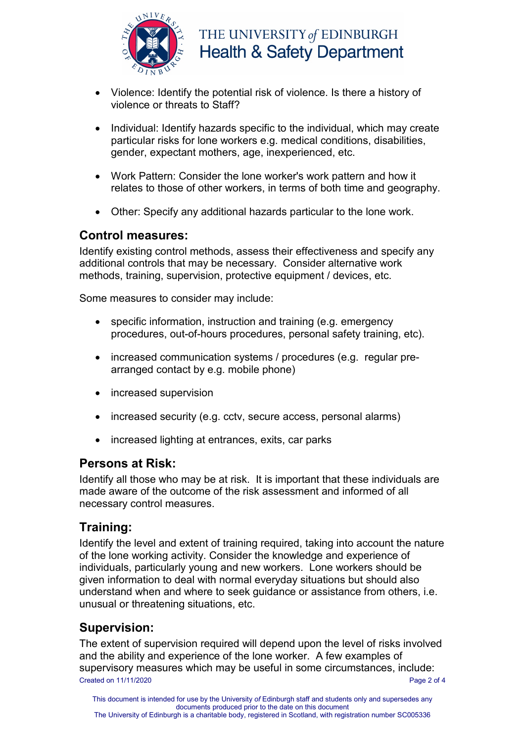

- Violence: Identify the potential risk of violence. Is there a history of violence or threats to Staff?
- Individual: Identify hazards specific to the individual, which may create particular risks for lone workers e.g. medical conditions, disabilities, gender, expectant mothers, age, inexperienced, etc.
- Work Pattern: Consider the lone worker's work pattern and how it relates to those of other workers, in terms of both time and geography.
- Other: Specify any additional hazards particular to the lone work.

## **Control measures:**

Identify existing control methods, assess their effectiveness and specify any additional controls that may be necessary. Consider alternative work methods, training, supervision, protective equipment / devices, etc.

Some measures to consider may include:

- specific information, instruction and training (e.g. emergency procedures, out-of-hours procedures, personal safety training, etc).
- increased communication systems / procedures (e.g. regular prearranged contact by e.g. mobile phone)
- increased supervision
- increased security (e.g. cctv, secure access, personal alarms)
- increased lighting at entrances, exits, car parks

#### **Persons at Risk:**

Identify all those who may be at risk. It is important that these individuals are made aware of the outcome of the risk assessment and informed of all necessary control measures.

#### **Training:**

Identify the level and extent of training required, taking into account the nature of the lone working activity. Consider the knowledge and experience of individuals, particularly young and new workers. Lone workers should be given information to deal with normal everyday situations but should also understand when and where to seek guidance or assistance from others, i.e. unusual or threatening situations, etc.

# **Supervision:**

Created on 11/11/2020 Page 2 of 4 The extent of supervision required will depend upon the level of risks involved and the ability and experience of the lone worker. A few examples of supervisory measures which may be useful in some circumstances, include: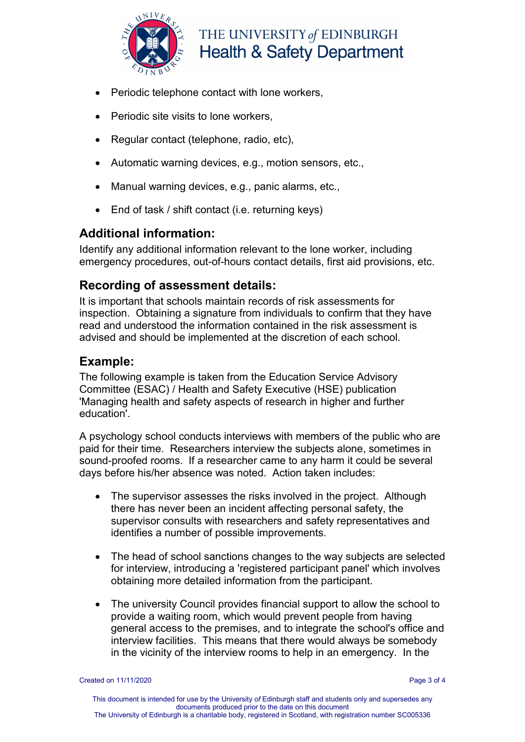

THE UNIVERSITY of EDINBURGH **Health & Safety Department** 

- Periodic telephone contact with lone workers,
- Periodic site visits to lone workers.
- Regular contact (telephone, radio, etc),
- Automatic warning devices, e.g., motion sensors, etc.,
- Manual warning devices, e.g., panic alarms, etc.,
- End of task / shift contact (i.e. returning keys)

#### **Additional information:**

Identify any additional information relevant to the lone worker, including emergency procedures, out-of-hours contact details, first aid provisions, etc.

# **Recording of assessment details:**

It is important that schools maintain records of risk assessments for inspection. Obtaining a signature from individuals to confirm that they have read and understood the information contained in the risk assessment is advised and should be implemented at the discretion of each school.

## **Example:**

The following example is taken from the Education Service Advisory Committee (ESAC) / Health and Safety Executive (HSE) publication 'Managing health and safety aspects of research in higher and further education'.

A psychology school conducts interviews with members of the public who are paid for their time. Researchers interview the subjects alone, sometimes in sound-proofed rooms. If a researcher came to any harm it could be several days before his/her absence was noted. Action taken includes:

- The supervisor assesses the risks involved in the project. Although there has never been an incident affecting personal safety, the supervisor consults with researchers and safety representatives and identifies a number of possible improvements.
- The head of school sanctions changes to the way subjects are selected for interview, introducing a 'registered participant panel' which involves obtaining more detailed information from the participant.
- The university Council provides financial support to allow the school to provide a waiting room, which would prevent people from having general access to the premises, and to integrate the school's office and interview facilities. This means that there would always be somebody in the vicinity of the interview rooms to help in an emergency. In the